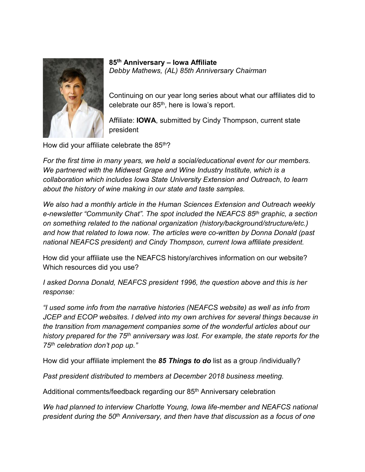

**85th Anniversary – Iowa Affiliate**  *Debby Mathews, (AL) 85th Anniversary Chairman*

Continuing on our year long series about what our affiliates did to celebrate our 85<sup>th</sup>, here is lowa's report.

Affiliate: **IOWA**, submitted by Cindy Thompson, current state president

How did your affiliate celebrate the 85<sup>th</sup>?

*For the first time in many years, we held a social/educational event for our members. We partnered with the Midwest Grape and Wine Industry Institute, which is a collaboration which includes Iowa State University Extension and Outreach, to learn about the history of wine making in our state and taste samples.*

*We also had a monthly article in the Human Sciences Extension and Outreach weekly e-newsletter "Community Chat". The spot included the NEAFCS 85th graphic, a section on something related to the national organization (history/background/structure/etc.) and how that related to Iowa now. The articles were co-written by Donna Donald (past national NEAFCS president) and Cindy Thompson, current Iowa affiliate president.*

How did your affiliate use the NEAFCS history/archives information on our website? Which resources did you use?

*I asked Donna Donald, NEAFCS president 1996, the question above and this is her response:*

*"I used some info from the narrative histories (NEAFCS website) as well as info from JCEP and ECOP websites. I delved into my own archives for several things because in the transition from management companies some of the wonderful articles about our history prepared for the 75th anniversary was lost. For example, the state reports for the 75th celebration don't pop up."*

How did your affiliate implement the *85 Things to do* list as a group /individually?

*Past president distributed to members at December 2018 business meeting.*

Additional comments/feedback regarding our 85<sup>th</sup> Anniversary celebration

*We had planned to interview Charlotte Young, Iowa life-member and NEAFCS national president during the 50th Anniversary, and then have that discussion as a focus of one*